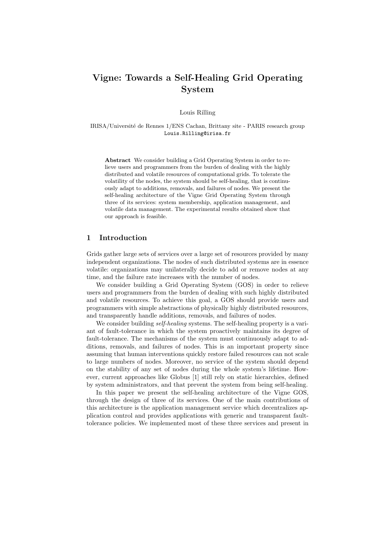# Vigne: Towards a Self-Healing Grid Operating System

Louis Rilling

IRISA/Universit´e de Rennes 1/ENS Cachan, Brittany site - PARIS research group Louis.Rilling@irisa.fr

Abstract We consider building a Grid Operating System in order to relieve users and programmers from the burden of dealing with the highly distributed and volatile resources of computational grids. To tolerate the volatility of the nodes, the system should be self-healing, that is continuously adapt to additions, removals, and failures of nodes. We present the self-healing architecture of the Vigne Grid Operating System through three of its services: system membership, application management, and volatile data management. The experimental results obtained show that our approach is feasible.

## 1 Introduction

Grids gather large sets of services over a large set of resources provided by many independent organizations. The nodes of such distributed systems are in essence volatile: organizations may unilaterally decide to add or remove nodes at any time, and the failure rate increases with the number of nodes.

We consider building a Grid Operating System (GOS) in order to relieve users and programmers from the burden of dealing with such highly distributed and volatile resources. To achieve this goal, a GOS should provide users and programmers with simple abstractions of physically highly distributed resources, and transparently handle additions, removals, and failures of nodes.

We consider building *self-healing* systems. The self-healing property is a variant of fault-tolerance in which the system proactively maintains its degree of fault-tolerance. The mechanisms of the system must continuously adapt to additions, removals, and failures of nodes. This is an important property since assuming that human interventions quickly restore failed resources can not scale to large numbers of nodes. Moreover, no service of the system should depend on the stability of any set of nodes during the whole system's lifetime. However, current approaches like Globus [1] still rely on static hierarchies, defined by system administrators, and that prevent the system from being self-healing.

In this paper we present the self-healing architecture of the Vigne GOS, through the design of three of its services. One of the main contributions of this architecture is the application management service which decentralizes application control and provides applications with generic and transparent faulttolerance policies. We implemented most of these three services and present in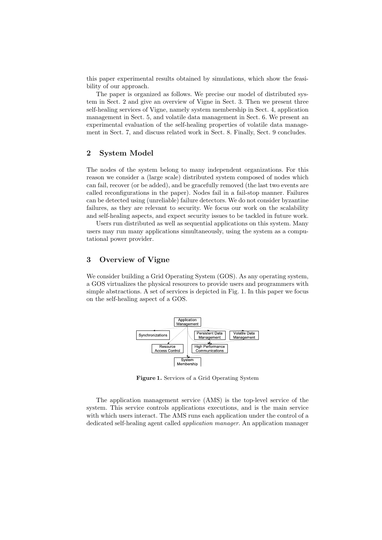this paper experimental results obtained by simulations, which show the feasibility of our approach.

The paper is organized as follows. We precise our model of distributed system in Sect. 2 and give an overview of Vigne in Sect. 3. Then we present three self-healing services of Vigne, namely system membership in Sect. 4, application management in Sect. 5, and volatile data management in Sect. 6. We present an experimental evaluation of the self-healing properties of volatile data management in Sect. 7, and discuss related work in Sect. 8. Finally, Sect. 9 concludes.

# 2 System Model

The nodes of the system belong to many independent organizations. For this reason we consider a (large scale) distributed system composed of nodes which can fail, recover (or be added), and be gracefully removed (the last two events are called reconfigurations in the paper). Nodes fail in a fail-stop manner. Failures can be detected using (unreliable) failure detectors. We do not consider byzantine failures, as they are relevant to security. We focus our work on the scalability and self-healing aspects, and expect security issues to be tackled in future work.

Users run distributed as well as sequential applications on this system. Many users may run many applications simultaneously, using the system as a computational power provider.

# 3 Overview of Vigne

We consider building a Grid Operating System (GOS). As any operating system, a GOS virtualizes the physical resources to provide users and programmers with simple abstractions. A set of services is depicted in Fig. 1. In this paper we focus on the self-healing aspect of a GOS.



Figure 1. Services of a Grid Operating System

The application management service (AMS) is the top-level service of the system. This service controls applications executions, and is the main service with which users interact. The AMS runs each application under the control of a dedicated self-healing agent called application manager. An application manager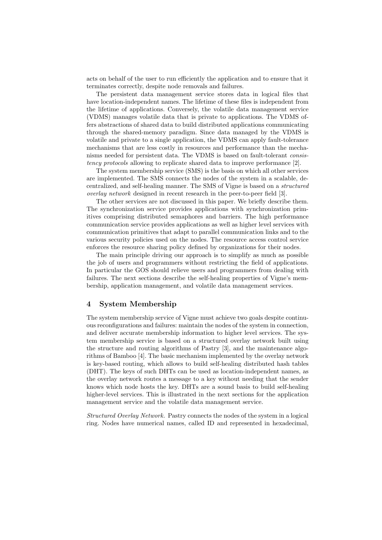acts on behalf of the user to run efficiently the application and to ensure that it terminates correctly, despite node removals and failures.

The persistent data management service stores data in logical files that have location-independent names. The lifetime of these files is independent from the lifetime of applications. Conversely, the volatile data management service (VDMS) manages volatile data that is private to applications. The VDMS offers abstractions of shared data to build distributed applications communicating through the shared-memory paradigm. Since data managed by the VDMS is volatile and private to a single application, the VDMS can apply fault-tolerance mechanisms that are less costly in resources and performance than the mechanisms needed for persistent data. The VDMS is based on fault-tolerant consistency protocols allowing to replicate shared data to improve performance [2].

The system membership service (SMS) is the basis on which all other services are implemented. The SMS connects the nodes of the system in a scalable, decentralized, and self-healing manner. The SMS of Vigne is based on a structured overlay network designed in recent research in the peer-to-peer field [3].

The other services are not discussed in this paper. We briefly describe them. The synchronization service provides applications with synchronization primitives comprising distributed semaphores and barriers. The high performance communication service provides applications as well as higher level services with communication primitives that adapt to parallel communication links and to the various security policies used on the nodes. The resource access control service enforces the resource sharing policy defined by organizations for their nodes.

The main principle driving our approach is to simplify as much as possible the job of users and programmers without restricting the field of applications. In particular the GOS should relieve users and programmers from dealing with failures. The next sections describe the self-healing properties of Vigne's membership, application management, and volatile data management services.

# 4 System Membership

The system membership service of Vigne must achieve two goals despite continuous reconfigurations and failures: maintain the nodes of the system in connection, and deliver accurate membership information to higher level services. The system membership service is based on a structured overlay network built using the structure and routing algorithms of Pastry [3], and the maintenance algorithms of Bamboo [4]. The basic mechanism implemented by the overlay network is key-based routing, which allows to build self-healing distributed hash tables (DHT). The keys of such DHTs can be used as location-independent names, as the overlay network routes a message to a key without needing that the sender knows which node hosts the key. DHTs are a sound basis to build self-healing higher-level services. This is illustrated in the next sections for the application management service and the volatile data management service.

Structured Overlay Network. Pastry connects the nodes of the system in a logical ring. Nodes have numerical names, called ID and represented in hexadecimal,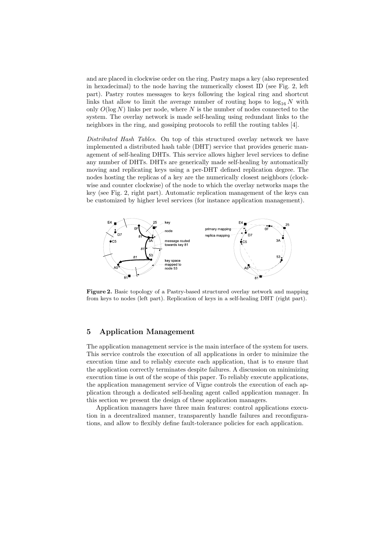and are placed in clockwise order on the ring. Pastry maps a key (also represented in hexadecimal) to the node having the numerically closest ID (see Fig. 2, left part). Pastry routes messages to keys following the logical ring and shortcut links that allow to limit the average number of routing hops to  $\log_{16} N$  with only  $O(\log N)$  links per node, where N is the number of nodes connected to the system. The overlay network is made self-healing using redundant links to the neighbors in the ring, and gossiping protocols to refill the routing tables [4].

Distributed Hash Tables. On top of this structured overlay network we have implemented a distributed hash table (DHT) service that provides generic management of self-healing DHTs. This service allows higher level services to define any number of DHTs. DHTs are generically made self-healing by automatically moving and replicating keys using a per-DHT defined replication degree. The nodes hosting the replicas of a key are the numerically closest neighbors (clockwise and counter clockwise) of the node to which the overlay networks maps the key (see Fig. 2, right part). Automatic replication management of the keys can be customized by higher level services (for instance application management).



Figure 2. Basic topology of a Pastry-based structured overlay network and mapping from keys to nodes (left part). Replication of keys in a self-healing DHT (right part).

#### 5 Application Management

The application management service is the main interface of the system for users. This service controls the execution of all applications in order to minimize the execution time and to reliably execute each application, that is to ensure that the application correctly terminates despite failures. A discussion on minimizing execution time is out of the scope of this paper. To reliably execute applications, the application management service of Vigne controls the execution of each application through a dedicated self-healing agent called application manager. In this section we present the design of these application managers.

Application managers have three main features: control applications execution in a decentralized manner, transparently handle failures and reconfigurations, and allow to flexibly define fault-tolerance policies for each application.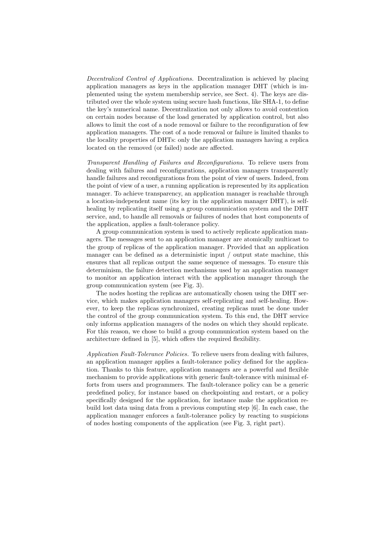Decentralized Control of Applications. Decentralization is achieved by placing application managers as keys in the application manager DHT (which is implemented using the system membership service, see Sect. 4). The keys are distributed over the whole system using secure hash functions, like SHA-1, to define the key's numerical name. Decentralization not only allows to avoid contention on certain nodes because of the load generated by application control, but also allows to limit the cost of a node removal or failure to the reconfiguration of few application managers. The cost of a node removal or failure is limited thanks to the locality properties of DHTs: only the application managers having a replica located on the removed (or failed) node are affected.

Transparent Handling of Failures and Reconfigurations. To relieve users from dealing with failures and reconfigurations, application managers transparently handle failures and reconfigurations from the point of view of users. Indeed, from the point of view of a user, a running application is represented by its application manager. To achieve transparency, an application manager is reachable through a location-independent name (its key in the application manager DHT), is selfhealing by replicating itself using a group communication system and the DHT service, and, to handle all removals or failures of nodes that host components of the application, applies a fault-tolerance policy.

A group communication system is used to actively replicate application managers. The messages sent to an application manager are atomically multicast to the group of replicas of the application manager. Provided that an application manager can be defined as a deterministic input / output state machine, this ensures that all replicas output the same sequence of messages. To ensure this determinism, the failure detection mechanisms used by an application manager to monitor an application interact with the application manager through the group communication system (see Fig. 3).

The nodes hosting the replicas are automatically chosen using the DHT service, which makes application managers self-replicating and self-healing. However, to keep the replicas synchronized, creating replicas must be done under the control of the group communication system. To this end, the DHT service only informs application managers of the nodes on which they should replicate. For this reason, we chose to build a group communication system based on the architecture defined in [5], which offers the required flexibility.

Application Fault-Tolerance Policies. To relieve users from dealing with failures, an application manager applies a fault-tolerance policy defined for the application. Thanks to this feature, application managers are a powerful and flexible mechanism to provide applications with generic fault-tolerance with minimal efforts from users and programmers. The fault-tolerance policy can be a generic predefined policy, for instance based on checkpointing and restart, or a policy specifically designed for the application, for instance make the application rebuild lost data using data from a previous computing step [6]. In each case, the application manager enforces a fault-tolerance policy by reacting to suspicions of nodes hosting components of the application (see Fig. 3, right part).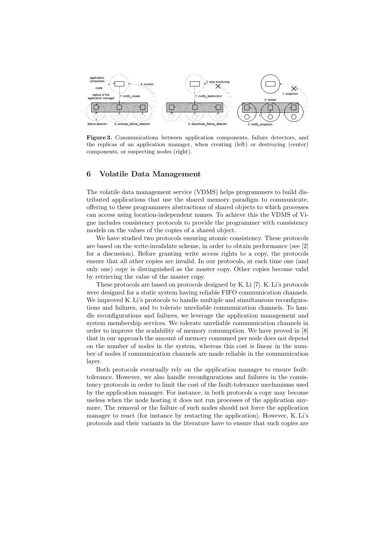

Figure 3. Communications between application components, failure detectors, and the replicas of an application manager, when creating (left) or destroying (center) components, or suspecting nodes (right).

## 6 Volatile Data Management

The volatile data management service (VDMS) helps programmers to build distributed applications that use the shared memory paradigm to communicate, offering to these programmers abstractions of shared objects to which processes can access using location-independent names. To achieve this the VDMS of Vigne includes consistency protocols to provide the programmer with consistency models on the values of the copies of a shared object.

We have studied two protocols ensuring atomic consistency. These protocols are based on the write-invalidate scheme, in order to obtain performance (see [2] for a discussion). Before granting write access rights to a copy, the protocols ensure that all other copies are invalid. In our protocols, at each time one (and only one) copy is distinguished as the master copy. Other copies become valid by retrieving the value of the master copy.

These protocols are based on protocols designed by K. Li [7]. K. Li's protocols were designed for a static system having reliable FIFO communication channels. We improved K. Li's protocols to handle multiple and simultaneous reconfigurations and failures, and to tolerate unreliable communication channels. To handle reconfigurations and failures, we leverage the application management and system membership services. We tolerate unreliable communication channels in order to improve the scalability of memory consumption. We have proved in [8] that in our approach the amount of memory consumed per node does not depend on the number of nodes in the system, whereas this cost is linear in the number of nodes if communication channels are made reliable in the communication layer.

Both protocols eventually rely on the application manager to ensure faulttolerance. However, we also handle reconfigurations and failures in the consistency protocols in order to limit the cost of the fault-tolerance mechanisms used by the application manager. For instance, in both protocols a copy may become useless when the node hosting it does not run processes of the application anymore. The removal or the failure of such nodes should not force the application manager to react (for instance by restarting the application). However, K. Li's protocols and their variants in the literature have to ensure that such copies are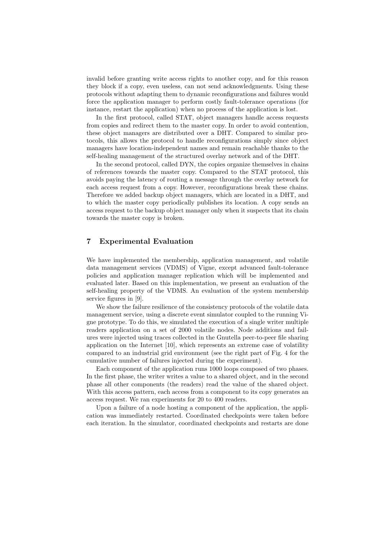invalid before granting write access rights to another copy, and for this reason they block if a copy, even useless, can not send acknowledgments. Using these protocols without adapting them to dynamic reconfigurations and failures would force the application manager to perform costly fault-tolerance operations (for instance, restart the application) when no process of the application is lost.

In the first protocol, called STAT, object managers handle access requests from copies and redirect them to the master copy. In order to avoid contention, these object managers are distributed over a DHT. Compared to similar protocols, this allows the protocol to handle reconfigurations simply since object managers have location-independent names and remain reachable thanks to the self-healing management of the structured overlay network and of the DHT.

In the second protocol, called DYN, the copies organize themselves in chains of references towards the master copy. Compared to the STAT protocol, this avoids paying the latency of routing a message through the overlay network for each access request from a copy. However, reconfigurations break these chains. Therefore we added backup object managers, which are located in a DHT, and to which the master copy periodically publishes its location. A copy sends an access request to the backup object manager only when it suspects that its chain towards the master copy is broken.

# 7 Experimental Evaluation

We have implemented the membership, application management, and volatile data management services (VDMS) of Vigne, except advanced fault-tolerance policies and application manager replication which will be implemented and evaluated later. Based on this implementation, we present an evaluation of the self-healing property of the VDMS. An evaluation of the system membership service figures in [9].

We show the failure resilience of the consistency protocols of the volatile data management service, using a discrete event simulator coupled to the running Vigne prototype. To do this, we simulated the execution of a single writer multiple readers application on a set of 2000 volatile nodes. Node additions and failures were injected using traces collected in the Gnutella peer-to-peer file sharing application on the Internet [10], which represents an extreme case of volatility compared to an industrial grid environment (see the right part of Fig. 4 for the cumulative number of failures injected during the experiment).

Each component of the application runs 1000 loops composed of two phases. In the first phase, the writer writes a value to a shared object, and in the second phase all other components (the readers) read the value of the shared object. With this access pattern, each access from a component to its copy generates an access request. We ran experiments for 20 to 400 readers.

Upon a failure of a node hosting a component of the application, the application was immediately restarted. Coordinated checkpoints were taken before each iteration. In the simulator, coordinated checkpoints and restarts are done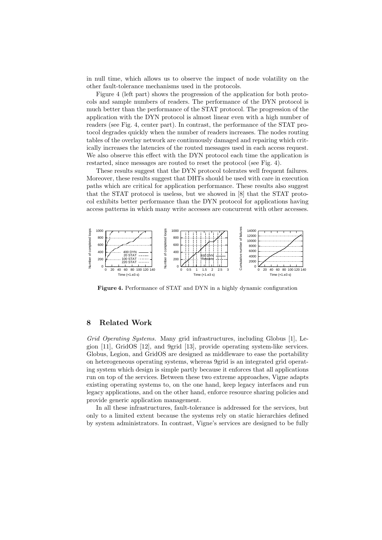in null time, which allows us to observe the impact of node volatility on the other fault-tolerance mechanisms used in the protocols.

Figure 4 (left part) shows the progression of the application for both protocols and sample numbers of readers. The performance of the DYN protocol is much better than the performance of the STAT protocol. The progression of the application with the DYN protocol is almost linear even with a high number of readers (see Fig. 4, center part). In contrast, the performance of the STAT protocol degrades quickly when the number of readers increases. The nodes routing tables of the overlay network are continuously damaged and repairing which critically increases the latencies of the routed messages used in each access request. We also observe this effect with the DYN protocol each time the application is restarted, since messages are routed to reset the protocol (see Fig. 4).

These results suggest that the DYN protocol tolerates well frequent failures. Moreover, these results suggest that DHTs should be used with care in execution paths which are critical for application performance. These results also suggest that the STAT protocol is useless, but we showed in [8] that the STAT protocol exhibits better performance than the DYN protocol for applications having access patterns in which many write accesses are concurrent with other accesses.



Figure 4. Performance of STAT and DYN in a highly dynamic configuration

### 8 Related Work

Grid Operating Systems. Many grid infrastructures, including Globus [1], Legion [11], GridOS [12], and 9grid [13], provide operating system-like services. Globus, Legion, and GridOS are designed as middleware to ease the portability on heterogeneous operating systems, whereas 9grid is an integrated grid operating system which design is simple partly because it enforces that all applications run on top of the services. Between these two extreme approaches, Vigne adapts existing operating systems to, on the one hand, keep legacy interfaces and run legacy applications, and on the other hand, enforce resource sharing policies and provide generic application management.

In all these infrastructures, fault-tolerance is addressed for the services, but only to a limited extent because the systems rely on static hierarchies defined by system administrators. In contrast, Vigne's services are designed to be fully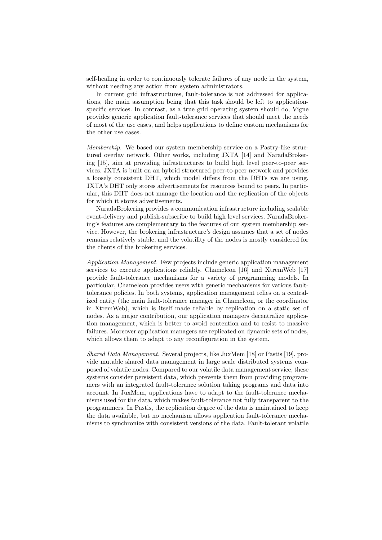self-healing in order to continuously tolerate failures of any node in the system, without needing any action from system administrators.

In current grid infrastructures, fault-tolerance is not addressed for applications, the main assumption being that this task should be left to applicationspecific services. In contrast, as a true grid operating system should do, Vigne provides generic application fault-tolerance services that should meet the needs of most of the use cases, and helps applications to define custom mechanisms for the other use cases.

Membership. We based our system membership service on a Pastry-like structured overlay network. Other works, including JXTA [14] and NaradaBrokering [15], aim at providing infrastructures to build high level peer-to-peer services. JXTA is built on an hybrid structured peer-to-peer network and provides a loosely consistent DHT, which model differs from the DHTs we are using. JXTA's DHT only stores advertisements for resources bound to peers. In particular, this DHT does not manage the location and the replication of the objects for which it stores advertisements.

NaradaBrokering provides a communication infrastructure including scalable event-delivery and publish-subscribe to build high level services. NaradaBrokering's features are complementary to the features of our system membership service. However, the brokering infrastructure's design assumes that a set of nodes remains relatively stable, and the volatility of the nodes is mostly considered for the clients of the brokering services.

Application Management. Few projects include generic application management services to execute applications reliably. Chameleon [16] and XtremWeb [17] provide fault-tolerance mechanisms for a variety of programming models. In particular, Chameleon provides users with generic mechanisms for various faulttolerance policies. In both systems, application management relies on a centralized entity (the main fault-tolerance manager in Chameleon, or the coordinator in XtremWeb), which is itself made reliable by replication on a static set of nodes. As a major contribution, our application managers decentralize application management, which is better to avoid contention and to resist to massive failures. Moreover application managers are replicated on dynamic sets of nodes, which allows them to adapt to any reconfiguration in the system.

Shared Data Management. Several projects, like JuxMem [18] or Pastis [19], provide mutable shared data management in large scale distributed systems composed of volatile nodes. Compared to our volatile data management service, these systems consider persistent data, which prevents them from providing programmers with an integrated fault-tolerance solution taking programs and data into account. In JuxMem, applications have to adapt to the fault-tolerance mechanisms used for the data, which makes fault-tolerance not fully transparent to the programmers. In Pastis, the replication degree of the data is maintained to keep the data available, but no mechanism allows application fault-tolerance mechanisms to synchronize with consistent versions of the data. Fault-tolerant volatile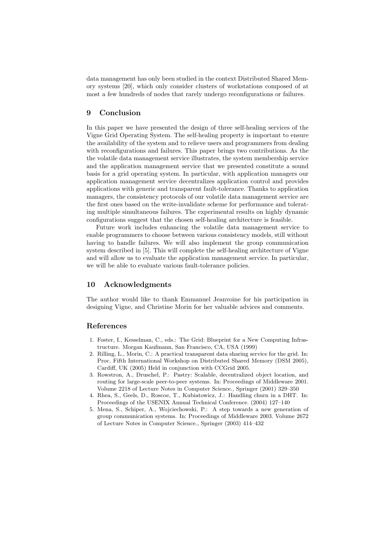data management has only been studied in the context Distributed Shared Memory systems [20], which only consider clusters of workstations composed of at most a few hundreds of nodes that rarely undergo reconfigurations or failures.

#### 9 Conclusion

In this paper we have presented the design of three self-healing services of the Vigne Grid Operating System. The self-healing property is important to ensure the availability of the system and to relieve users and programmers from dealing with reconfigurations and failures. This paper brings two contributions. As the the volatile data management service illustrates, the system membership service and the application management service that we presented constitute a sound basis for a grid operating system. In particular, with application managers our application management service decentralizes application control and provides applications with generic and transparent fault-tolerance. Thanks to application managers, the consistency protocols of our volatile data management service are the first ones based on the write-invalidate scheme for performance and tolerating multiple simultaneous failures. The experimental results on highly dynamic configurations suggest that the chosen self-healing architecture is feasible.

Future work includes enhancing the volatile data management service to enable programmers to choose between various consistency models, still without having to handle failures. We will also implement the group communication system described in [5]. This will complete the self-healing architecture of Vigne and will allow us to evaluate the application management service. In particular, we will be able to evaluate various fault-tolerance policies.

### 10 Acknowledgments

The author would like to thank Emmanuel Jeanvoine for his participation in designing Vigne, and Christine Morin for her valuable advices and comments.

## References

- 1. Foster, I., Kesselman, C., eds.: The Grid: Blueprint for a New Computing Infrastructure. Morgan Kaufmann, San Francisco, CA, USA (1999)
- 2. Rilling, L., Morin, C.: A practical transparent data sharing service for the grid. In: Proc. Fifth International Workshop on Distributed Shared Memory (DSM 2005), Cardiff, UK (2005) Held in conjunction with CCGrid 2005.
- 3. Rowstron, A., Druschel, P.: Pastry: Scalable, decentralized object location, and routing for large-scale peer-to-peer systems. In: Proceedings of Middleware 2001. Volume 2218 of Lecture Notes in Computer Science., Springer (2001) 329–350
- 4. Rhea, S., Geels, D., Roscoe, T., Kubiatowicz, J.: Handling churn in a DHT. In: Proceedings of the USENIX Annual Technical Conference. (2004) 127–140
- 5. Mena, S., Schiper, A., Wojciechowski, P.: A step towards a new generation of group communication systems. In: Proceedings of Middleware 2003. Volume 2672 of Lecture Notes in Computer Science., Springer (2003) 414–432